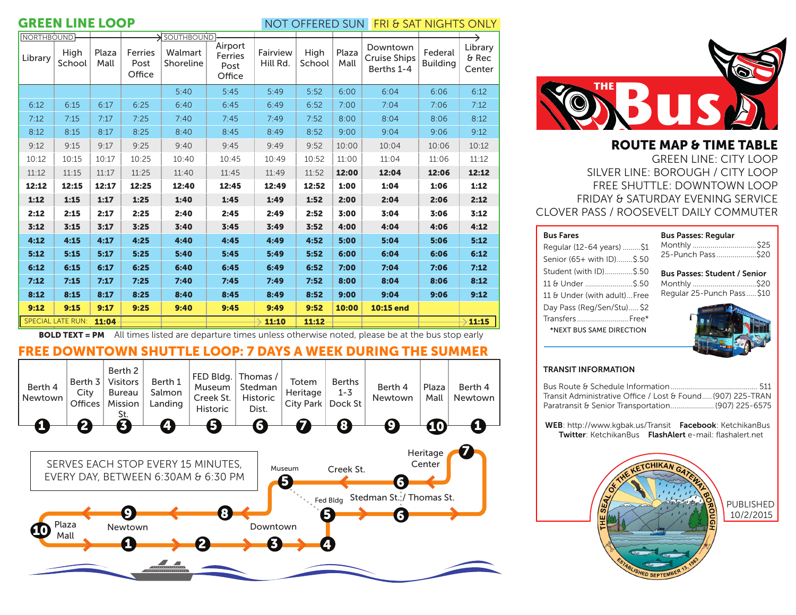## **GREEN LINE LOOP SERVICE SUN FRI & SAT NIGHTS ONLY**

| <b>NORTHBOUND</b> |                          |               |                           | $\rightarrow$ SOUTHBOUND |                                      |                      |                |       |                                               |                            | $\rightarrow$                |
|-------------------|--------------------------|---------------|---------------------------|--------------------------|--------------------------------------|----------------------|----------------|-------|-----------------------------------------------|----------------------------|------------------------------|
| Library           | High<br>School           | Plaza<br>Mall | Ferries<br>Post<br>Office | Walmart<br>Shoreline     | Airport<br>Ferries<br>Post<br>Office | Fairview<br>Hill Rd. | High<br>School |       | Downtown<br><b>Cruise Ships</b><br>Berths 1-4 | Federal<br><b>Building</b> | Library<br>$6$ Rec<br>Center |
|                   |                          |               |                           | 5:40                     | 5:45                                 | 5:49                 | 5:52           | 6:00  | 6:04                                          | 6:06                       | 6:12                         |
| 6:12              | 6:15                     | 6:17          | 6:25                      | 6:40                     | 6:45                                 | 6:49                 | 6:52           | 7:00  | 7:04                                          | 7:06                       | 7:12                         |
| 7:12              | 7:15                     | 7:17          | 7:25                      | 7:40                     | 7:45                                 | 7:49                 | 7:52           | 8:00  | 8:04                                          | 8:06                       | 8:12                         |
| 8:12              | 8:15                     | 8:17          | 8:25                      | 8:40                     | 8:45                                 | 8:49                 | 8:52           | 9:00  | 9:04                                          | 9:06                       | 9:12                         |
| 9:12              | 9:15                     | 9:17          | 9:25                      | 9:40                     | 9:45                                 | 9:49                 | 9:52           | 10:00 | 10:04                                         | 10:06                      | 10:12                        |
| 10:12             | 10:15                    | 10:17         | 10:25                     | 10:40                    | 10:45                                | 10:49                | 10:52          | 11:00 | 11:04                                         | 11:06                      | 11:12                        |
| 11:12             | 11:15                    | 11:17         | 11:25                     | 11:40                    | 11:45                                | 11:49                | 11:52          | 12:00 | 12:04                                         | 12:06                      | 12:12                        |
| 12:12             | 12:15                    | 12:17         | 12:25                     | 12:40                    | 12:45                                | 12:49                | 12:52          | 1:00  | 1:04                                          | 1:06                       | 1:12                         |
| 1:12              | 1:15                     | 1:17          | 1:25                      | 1:40                     | 1:45                                 | 1:49                 | 1:52           | 2:00  | 2:04                                          | 2:06                       | 2:12                         |
| 2:12              | 2:15                     | 2:17          | 2:25                      | 2:40                     | 2:45                                 | 2:49                 | 2:52           | 3:00  | 3:04                                          | 3:06                       | 3:12                         |
| 3:12              | 3:15                     | 3:17          | 3:25                      | 3:40                     | 3:45                                 | 3:49                 | 3:52           | 4:00  | 4:04                                          | 4:06                       | 4:12                         |
| 4:12              | 4:15                     | 4:17          | 4:25                      | 4:40                     | 4:45                                 | 4:49                 | 4:52           | 5:00  | 5:04                                          | 5:06                       | 5:12                         |
| 5:12              | 5:15                     | 5:17          | 5:25                      | 5:40                     | 5:45                                 | 5:49                 | 5:52           | 6:00  | 6:04                                          | 6:06                       | 6:12                         |
| 6:12              | 6:15                     | 6:17          | 6:25                      | 6:40                     | 6:45                                 | 6:49                 | 6:52           | 7:00  | 7:04                                          | 7:06                       | 7:12                         |
| 7:12              | 7:15                     | 7:17          | 7:25                      | 7:40                     | 7:45                                 | 7:49                 | 7:52           | 8:00  | 8:04                                          | 8:06                       | 8:12                         |
| 8:12              | 8:15                     | 8:17          | 8:25                      | 8:40                     | 8:45                                 | 8:49                 | 8:52           | 9:00  | 9:04                                          | 9:06                       | 9:12                         |
| 9:12              | 9:15                     | 9:17          | 9:25                      | 9:40                     | 9:45                                 | 9:49                 | 9:52           | 10:00 | 10:15 end                                     |                            |                              |
|                   | <b>SPECIAL LATE RUN:</b> | 11:04         |                           |                          |                                      | 11:10                | 11:12          |       |                                               |                            | 11:15                        |

**BOLD TEXT = PM** All times listed are departure times unless otherwise noted, please be at the bus stop early

# FREE DOWNTOWN SHUTTLE LOOP: 7 DAYS A WEEK DURING THE SUMMER





ROUTE MAP & TIME TABLE GREEN LINE: CITY LOOP SILVER LINE: BOROUGH / CITY LOOP FREE SHUTTLE: DOWNTOWN LOOP FRIDAY & SATURDAY EVENING SERVICE CLOVER PASS / ROOSEVELT DAILY COMMUTER

| <b>Bus Fares</b>            | <b>Bus Passes: Reqular</b> |
|-----------------------------|----------------------------|
| Regular (12-64 years) \$1   | Monthly                    |
| Senior (65+ with ID)\$.50   | 25-Punch Pass              |
| Student (with ID)\$.50      | <b>Bus Passes: Student</b> |
| 11 & Under  \$.50           | Monthly                    |
| 11 & Under (with adult)Free | Regular 25-Punch Pa        |
| Day Pass (Reg/Sen/Stu) \$2  |                            |
| Transfers Free*             |                            |
| *NEXT BUS SAME DIRECTION    |                            |
|                             |                            |

| Monthly \$25<br>25-Punch Pass\$20                                                 |  |
|-----------------------------------------------------------------------------------|--|
| <b>Bus Passes: Student / Senior</b><br>Monthly \$20<br>Regular 25-Punch Pass \$10 |  |
|                                                                                   |  |

### TRANSIT INFORMATION

| Transit Administrative Office / Lost & Found (907) 225-TRAN |  |
|-------------------------------------------------------------|--|
| Paratransit & Senior Transportation (907) 225-6575          |  |

 WEB: http://www.kgbak.us/Transit Facebook: KetchikanBus Twitter: KetchikanBus FlashAlert e-mail: flashalert.net